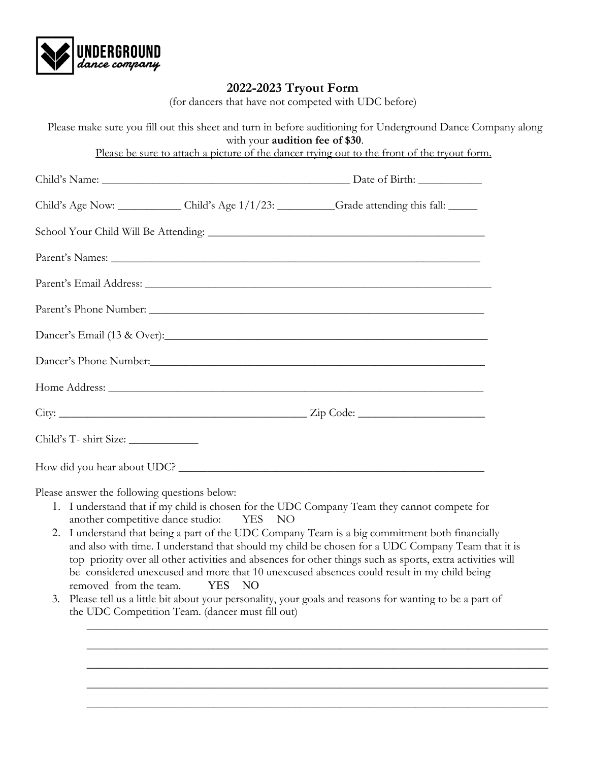

## **2022-2023 Tryout Form**

(for dancers that have not competed with UDC before)

|                                        | with your audition fee of \$30. | Please make sure you fill out this sheet and turn in before auditioning for Underground Dance Company along |  |
|----------------------------------------|---------------------------------|-------------------------------------------------------------------------------------------------------------|--|
|                                        |                                 | Please be sure to attach a picture of the dancer trying out to the front of the tryout form.                |  |
|                                        |                                 |                                                                                                             |  |
|                                        |                                 | Child's Age Now: Child's Age 1/1/23: Grade attending this fall:                                             |  |
|                                        |                                 |                                                                                                             |  |
|                                        |                                 |                                                                                                             |  |
|                                        |                                 |                                                                                                             |  |
|                                        |                                 |                                                                                                             |  |
|                                        |                                 |                                                                                                             |  |
|                                        |                                 |                                                                                                             |  |
|                                        |                                 |                                                                                                             |  |
|                                        |                                 |                                                                                                             |  |
| Child's T- shirt Size: _______________ |                                 |                                                                                                             |  |
|                                        |                                 |                                                                                                             |  |

Please answer the following questions below:

- 1. I understand that if my child is chosen for the UDC Company Team they cannot compete for another competitive dance studio: YES NO
- 2. I understand that being a part of the UDC Company Team is a big commitment both financially and also with time. I understand that should my child be chosen for a UDC Company Team that it is top priority over all other activities and absences for other things such as sports, extra activities will be considered unexcused and more that 10 unexcused absences could result in my child being removed from the team. YES NO

\_\_\_\_\_\_\_\_\_\_\_\_\_\_\_\_\_\_\_\_\_\_\_\_\_\_\_\_\_\_\_\_\_\_\_\_\_\_\_\_\_\_\_\_\_\_\_\_\_\_\_\_\_\_\_\_\_\_\_\_\_\_\_\_\_\_\_\_\_\_\_\_\_\_\_\_\_\_\_\_

\_\_\_\_\_\_\_\_\_\_\_\_\_\_\_\_\_\_\_\_\_\_\_\_\_\_\_\_\_\_\_\_\_\_\_\_\_\_\_\_\_\_\_\_\_\_\_\_\_\_\_\_\_\_\_\_\_\_\_\_\_\_\_\_\_\_\_\_\_\_\_\_\_\_\_\_\_\_\_\_

\_\_\_\_\_\_\_\_\_\_\_\_\_\_\_\_\_\_\_\_\_\_\_\_\_\_\_\_\_\_\_\_\_\_\_\_\_\_\_\_\_\_\_\_\_\_\_\_\_\_\_\_\_\_\_\_\_\_\_\_\_\_\_\_\_\_\_\_\_\_\_\_\_\_\_\_\_\_\_\_

\_\_\_\_\_\_\_\_\_\_\_\_\_\_\_\_\_\_\_\_\_\_\_\_\_\_\_\_\_\_\_\_\_\_\_\_\_\_\_\_\_\_\_\_\_\_\_\_\_\_\_\_\_\_\_\_\_\_\_\_\_\_\_\_\_\_\_\_\_\_\_\_\_\_\_\_\_\_\_\_

\_\_\_\_\_\_\_\_\_\_\_\_\_\_\_\_\_\_\_\_\_\_\_\_\_\_\_\_\_\_\_\_\_\_\_\_\_\_\_\_\_\_\_\_\_\_\_\_\_\_\_\_\_\_\_\_\_\_\_\_\_\_\_\_\_\_\_\_\_\_\_\_\_\_\_\_\_\_\_\_

3. Please tell us a little bit about your personality, your goals and reasons for wanting to be a part of the UDC Competition Team. (dancer must fill out)